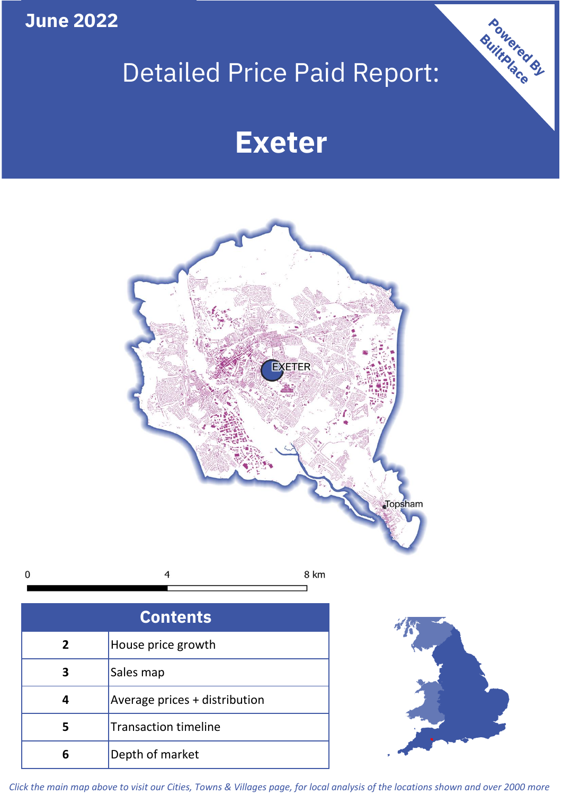**June 2022**

# Detailed Price Paid Report:

Powered By

# **Exeter**



*Click the main map above to visit our Cities, Towns & Villages page, for local analysis of the locations shown and over 2000 more*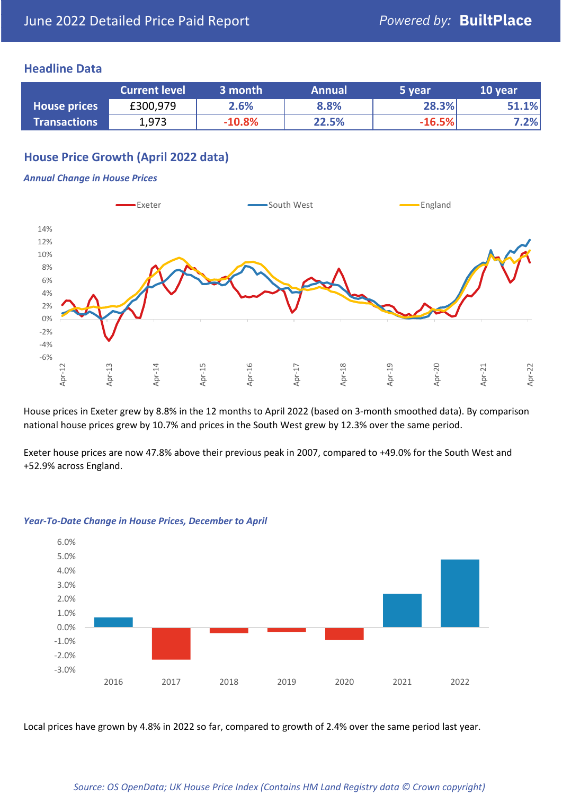## **Headline Data**

|                     | <b>Current level</b> | 3 month  | <b>Annual</b> | 5 year   | 10 year |
|---------------------|----------------------|----------|---------------|----------|---------|
| <b>House prices</b> | £300,979             | 2.6%     | 8.8%          | 28.3%    | 51.1%   |
| <b>Transactions</b> | 1,973                | $-10.8%$ | 22.5%         | $-16.5%$ | 7.2%    |

## **House Price Growth (April 2022 data)**

#### *Annual Change in House Prices*



House prices in Exeter grew by 8.8% in the 12 months to April 2022 (based on 3-month smoothed data). By comparison national house prices grew by 10.7% and prices in the South West grew by 12.3% over the same period.

Exeter house prices are now 47.8% above their previous peak in 2007, compared to +49.0% for the South West and +52.9% across England.



#### *Year-To-Date Change in House Prices, December to April*

Local prices have grown by 4.8% in 2022 so far, compared to growth of 2.4% over the same period last year.

#### *Source: OS OpenData; UK House Price Index (Contains HM Land Registry data © Crown copyright)*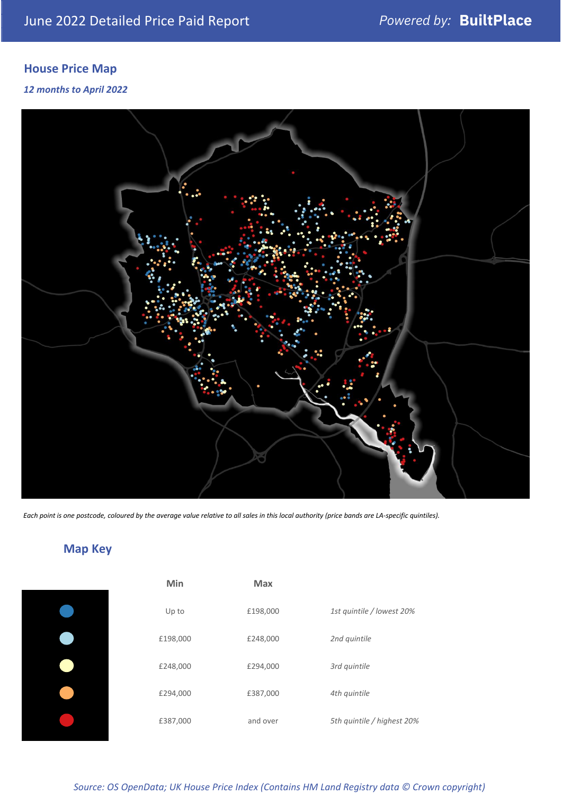# **House Price Map**

### *12 months to April 2022*



*Each point is one postcode, coloured by the average value relative to all sales in this local authority (price bands are LA-specific quintiles).*

# **Map Key**

*Source: OS OpenData; UK House Price Index (Contains HM Land Registry data © Crown copyright)*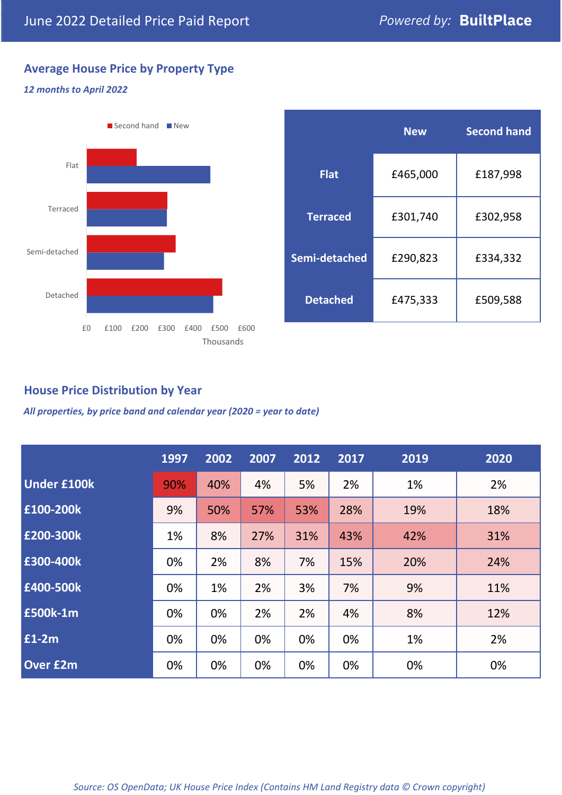## **Average House Price by Property Type**

### *12 months to April 2022*



|                 | <b>New</b> | <b>Second hand</b> |  |  |
|-----------------|------------|--------------------|--|--|
| <b>Flat</b>     | £465,000   | £187,998           |  |  |
| <b>Terraced</b> | £301,740   | £302,958           |  |  |
| Semi-detached   | £290,823   | £334,332           |  |  |
| <b>Detached</b> | £475,333   | £509,588           |  |  |

## **House Price Distribution by Year**

*All properties, by price band and calendar year (2020 = year to date)*

|                    | 1997 | 2002 | 2007 | 2012 | 2017 | 2019 | 2020 |
|--------------------|------|------|------|------|------|------|------|
| <b>Under £100k</b> | 90%  | 40%  | 4%   | 5%   | 2%   | 1%   | 2%   |
| £100-200k          | 9%   | 50%  | 57%  | 53%  | 28%  | 19%  | 18%  |
| £200-300k          | 1%   | 8%   | 27%  | 31%  | 43%  | 42%  | 31%  |
| £300-400k          | 0%   | 2%   | 8%   | 7%   | 15%  | 20%  | 24%  |
| E400-500k          | 0%   | 1%   | 2%   | 3%   | 7%   | 9%   | 11%  |
| <b>£500k-1m</b>    | 0%   | 0%   | 2%   | 2%   | 4%   | 8%   | 12%  |
| £1-2m              | 0%   | 0%   | 0%   | 0%   | 0%   | 1%   | 2%   |
| <b>Over £2m</b>    | 0%   | 0%   | 0%   | 0%   | 0%   | 0%   | 0%   |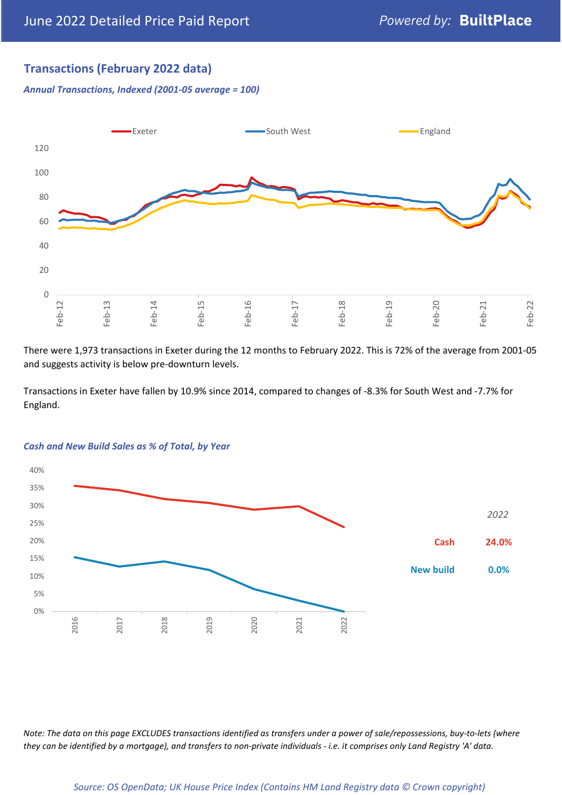## **Transactions (February 2022 data)**

*Annual Transactions, Indexed (2001-05 average = 100)*



There were 1,973 transactions in Exeter during the 12 months to February 2022. This is 72% of the average from 2001-05 and suggests activity is below pre-downturn levels.

Transactions in Exeter have fallen by 10.9% since 2014, compared to changes of -8.3% for South West and -7.7% for England.



#### *Cash and New Build Sales as % of Total, by Year*

*Note: The data on this page EXCLUDES transactions identified as transfers under a power of sale/repossessions, buy-to-lets (where they can be identified by a mortgage), and transfers to non-private individuals - i.e. it comprises only Land Registry 'A' data.*